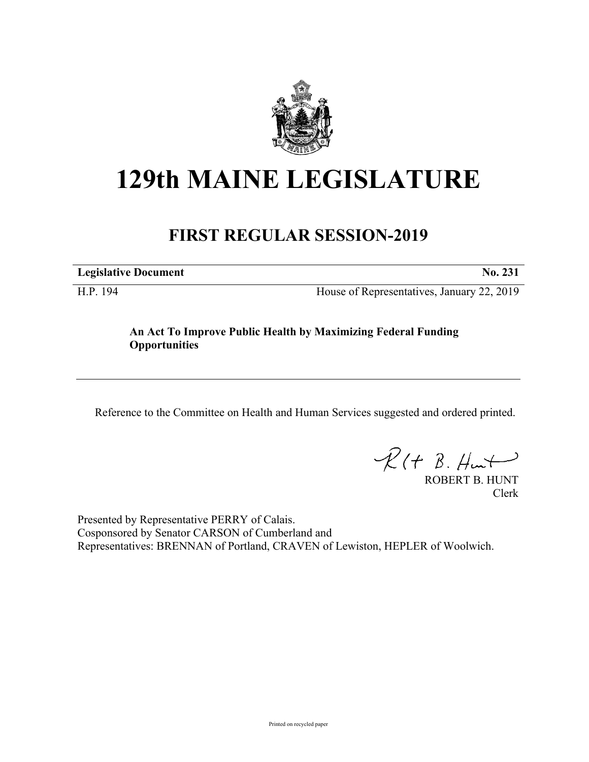

## **129th MAINE LEGISLATURE**

## **FIRST REGULAR SESSION-2019**

**Legislative Document No. 231**

H.P. 194 House of Representatives, January 22, 2019

## **An Act To Improve Public Health by Maximizing Federal Funding Opportunities**

Reference to the Committee on Health and Human Services suggested and ordered printed.

 $R(t B. Hmt)$ 

ROBERT B. HUNT Clerk

Presented by Representative PERRY of Calais. Cosponsored by Senator CARSON of Cumberland and Representatives: BRENNAN of Portland, CRAVEN of Lewiston, HEPLER of Woolwich.